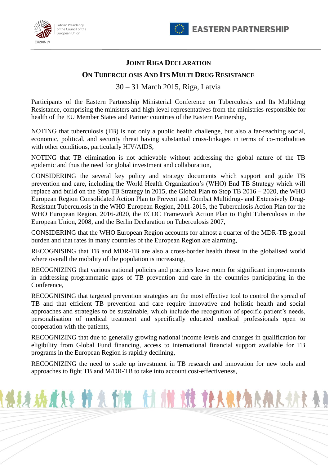



## **JOINT RIGA DECLARATION**

## **ON TUBERCULOSIS AND ITS MULTI DRUG RESISTANCE**

30 – 31 March 2015, Riga, Latvia

Participants of the Eastern Partnership Ministerial Conference on Tuberculosis and Its Multidrug Resistance, comprising the ministers and high level representatives from the ministries responsible for health of the EU Member States and Partner countries of the Eastern Partnership,

NOTING that tuberculosis (TB) is not only a public health challenge, but also a far-reaching social, economic, political, and security threat having substantial cross-linkages in terms of co-morbidities with other conditions, particularly HIV/AIDS,

NOTING that TB elimination is not achievable without addressing the global nature of the TB epidemic and thus the need for global investment and collaboration,

CONSIDERING the several key policy and strategy documents which support and guide TB prevention and care, including the World Health Organization's (WHO) End TB Strategy which will replace and build on the Stop TB Strategy in 2015, the Global Plan to Stop TB 2016 – 2020, the WHO European Region Consolidated Action Plan to Prevent and Combat Multidrug- and Extensively Drug-Resistant Tuberculosis in the WHO European Region, 2011-2015, the Tuberculosis Action Plan for the WHO European Region, 2016-2020, the ECDC Framework Action Plan to Fight Tuberculosis in the European Union, 2008, and the Berlin Declaration on Tuberculosis 2007,

CONSIDERING that the WHO European Region accounts for almost a quarter of the MDR-TB global burden and that rates in many countries of the European Region are alarming,

RECOGNISING that TB and MDR-TB are also a cross-border health threat in the globalised world where overall the mobility of the population is increasing,

RECOGNIZING that various national policies and practices leave room for significant improvements in addressing programmatic gaps of TB prevention and care in the countries participating in the Conference,

RECOGNISING that targeted prevention strategies are the most effective tool to control the spread of TB and that efficient TB prevention and care require innovative and holistic health and social approaches and strategies to be sustainable, which include the recognition of specific patient's needs, personalisation of medical treatment and specifically educated medical professionals open to cooperation with the patients,

RECOGNIZING that due to generally growing national income levels and changes in qualification for eligibility from Global Fund financing, access to international financial support available for TB programs in the European Region is rapidly declining,

RECOGNIZING the need to scale up investment in TB research and innovation for new tools and approaches to fight TB and M/DR-TB to take into account cost-effectiveness,